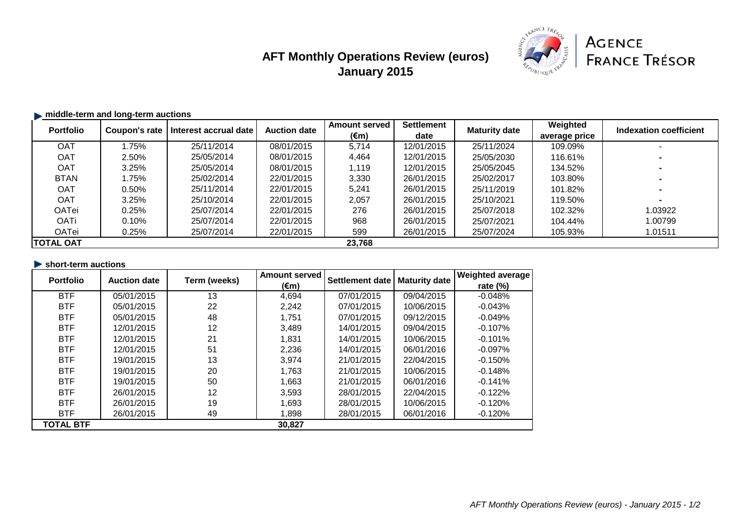# **AFT Monthly Operations Review (euros) January 2015**



## **middle-term and long-term auctions**

| <b>Portfolio</b>           | Coupon's rate | l Interest accrual date l | <b>Auction date</b> | <b>Amount served</b> | <b>Settlement</b> | <b>Maturity date</b> | Weighted      | <b>Indexation coefficient</b> |
|----------------------------|---------------|---------------------------|---------------------|----------------------|-------------------|----------------------|---------------|-------------------------------|
|                            |               |                           |                     | $(\epsilon m)$       | date              |                      | average price |                               |
| <b>OAT</b>                 | l.75%         | 25/11/2014                | 08/01/2015          | 5,714                | 12/01/2015        | 25/11/2024           | 109.09%       |                               |
| <b>OAT</b>                 | 2.50%         | 25/05/2014                | 08/01/2015          | 4,464                | 12/01/2015        | 25/05/2030           | 116.61%       |                               |
| <b>OAT</b>                 | 3.25%         | 25/05/2014                | 08/01/2015          | 1,119                | 12/01/2015        | 25/05/2045           | 134.52%       |                               |
| <b>BTAN</b>                | 1.75%         | 25/02/2014                | 22/01/2015          | 3,330                | 26/01/2015        | 25/02/2017           | 103.80%       |                               |
| OAT                        | 0.50%         | 25/11/2014                | 22/01/2015          | 5,241                | 26/01/2015        | 25/11/2019           | 101.82%       |                               |
| <b>OAT</b>                 | 3.25%         | 25/10/2014                | 22/01/2015          | 2,057                | 26/01/2015        | 25/10/2021           | 119.50%       |                               |
| <b>OATei</b>               | 0.25%         | 25/07/2014                | 22/01/2015          | 276                  | 26/01/2015        | 25/07/2018           | 102.32%       | 1.03922                       |
| <b>OATi</b>                | 0.10%         | 25/07/2014                | 22/01/2015          | 968                  | 26/01/2015        | 25/07/2021           | 104.44%       | 1.00799                       |
| OATei                      | 0.25%         | 25/07/2014                | 22/01/2015          | 599                  | 26/01/2015        | 25/07/2024           | 105.93%       | 1.01511                       |
| <b>TOTAL OAT</b><br>23,768 |               |                           |                     |                      |                   |                      |               |                               |

| short-term auctions |                     |              |                |                        |                      |                         |
|---------------------|---------------------|--------------|----------------|------------------------|----------------------|-------------------------|
| <b>Portfolio</b>    | <b>Auction date</b> | Term (weeks) | Amount served  | <b>Settlement date</b> | <b>Maturity date</b> | <b>Weighted average</b> |
|                     |                     |              | $(\epsilon m)$ |                        |                      | rate $(\%)$             |
| <b>BTF</b>          | 05/01/2015          | 13           | 4,694          | 07/01/2015             | 09/04/2015           | $-0.048%$               |
| <b>BTF</b>          | 05/01/2015          | 22           | 2,242          | 07/01/2015             | 10/06/2015           | $-0.043%$               |
| <b>BTF</b>          | 05/01/2015          | 48           | 1,751          | 07/01/2015             | 09/12/2015           | $-0.049%$               |
| <b>BTF</b>          | 12/01/2015          | 12           | 3,489          | 14/01/2015             | 09/04/2015           | $-0.107\%$              |
| <b>BTF</b>          | 12/01/2015          | 21           | 1,831          | 14/01/2015             | 10/06/2015           | $-0.101%$               |
| <b>BTF</b>          | 12/01/2015          | 51           | 2,236          | 14/01/2015             | 06/01/2016           | $-0.097\%$              |
| <b>BTF</b>          | 19/01/2015          | 13           | 3,974          | 21/01/2015             | 22/04/2015           | $-0.150%$               |
| <b>BTF</b>          | 19/01/2015          | 20           | 1,763          | 21/01/2015             | 10/06/2015           | $-0.148%$               |
| <b>BTF</b>          | 19/01/2015          | 50           | 1,663          | 21/01/2015             | 06/01/2016           | $-0.141%$               |
| <b>BTF</b>          | 26/01/2015          | 12           | 3,593          | 28/01/2015             | 22/04/2015           | $-0.122%$               |
| <b>BTF</b>          | 26/01/2015          | 19           | 1,693          | 28/01/2015             | 10/06/2015           | $-0.120%$               |
| <b>BTF</b>          | 26/01/2015          | 49           | 1,898          | 28/01/2015             | 06/01/2016           | $-0.120%$               |
| <b>TOTAL BTF</b>    |                     |              | 30,827         |                        |                      |                         |